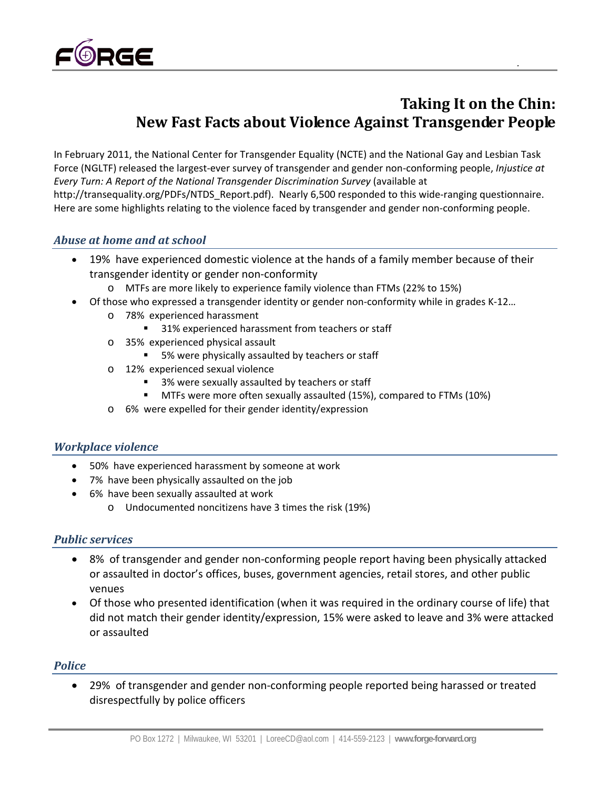

# **Taking It on the Chin: New Fast Facts about Violence Against Transgender People**

In February 2011, the National Center for Transgender Equality (NCTE) and the National Gay and Lesbian Task Force (NGLTF) released the largest‐ever survey of transgender and gender non‐conforming people, *Injustice at Every Turn: A Report of the National Transgender Discrimination Survey* (available at http://transequality.org/PDFs/NTDS\_Report.pdf). Nearly 6,500 responded to this wide-ranging questionnaire. Here are some highlights relating to the violence faced by transgender and gender non-conforming people.

# *Abuse at home and at school*

- 19% have experienced domestic violence at the hands of a family member because of their transgender identity or gender non‐conformity
	- o MTFs are more likely to experience family violence than FTMs (22% to 15%)
- Of those who expressed a transgender identity or gender non-conformity while in grades K-12...
	- o 78% experienced harassment
		- 31% experienced harassment from teachers or staff
	- o 35% experienced physical assault
		- 5% were physically assaulted by teachers or staff
	- o 12% experienced sexual violence
		- 3% were sexually assaulted by teachers or staff
		- MTFs were more often sexually assaulted (15%), compared to FTMs (10%)
	- o 6% were expelled for their gender identity/expression

## *Workplace violence*

- 50% have experienced harassment by someone at work
- 7% have been physically assaulted on the job
- 6% have been sexually assaulted at work
	- o Undocumented noncitizens have 3 times the risk (19%)

## *Public services*

- 8% of transgender and gender non-conforming people report having been physically attacked or assaulted in doctor's offices, buses, government agencies, retail stores, and other public venues
- Of those who presented identification (when it was required in the ordinary course of life) that did not match their gender identity/expression, 15% were asked to leave and 3% were attacked or assaulted

#### *Police*

29% of transgender and gender non-conforming people reported being harassed or treated disrespectfully by police officers